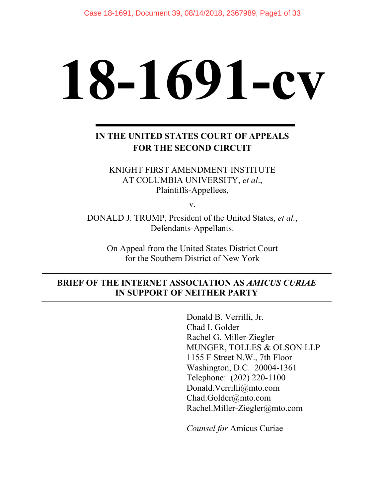# **18-1691-cv**

# **IN THE UNITED STATES COURT OF APPEALS FOR THE SECOND CIRCUIT**

KNIGHT FIRST AMENDMENT INSTITUTE AT COLUMBIA UNIVERSITY, *et al*., Plaintiffs-Appellees,

v.

DONALD J. TRUMP, President of the United States, *et al.*, Defendants-Appellants.

On Appeal from the United States District Court for the Southern District of New York

## **BRIEF OF THE INTERNET ASSOCIATION AS** *AMICUS CURIAE* **IN SUPPORT OF NEITHER PARTY**

Donald B. Verrilli, Jr. Chad I. Golder Rachel G. Miller-Ziegler MUNGER, TOLLES & OLSON LLP 1155 F Street N.W., 7th Floor Washington, D.C. 20004-1361 Telephone: (202) 220-1100 Donald.Verrilli@mto.com Chad.Golder@mto.com Rachel.Miller-Ziegler@mto.com

*Counsel for* Amicus Curiae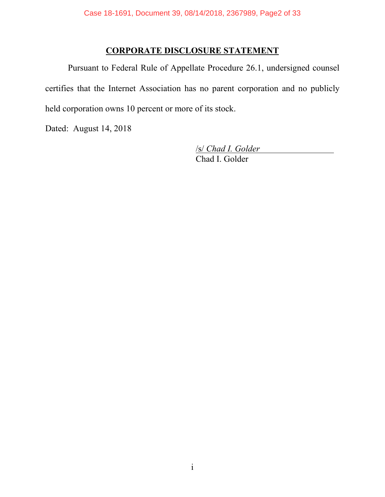## **CORPORATE DISCLOSURE STATEMENT**

Pursuant to Federal Rule of Appellate Procedure 26.1, undersigned counsel certifies that the Internet Association has no parent corporation and no publicly held corporation owns 10 percent or more of its stock.

Dated: August 14, 2018

/s/ *Chad I. Golder*

Chad I. Golder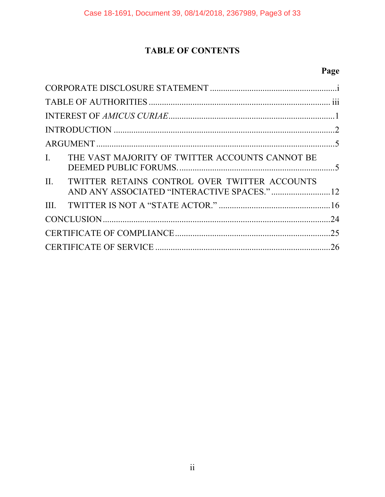# **TABLE OF CONTENTS**

# **Page**

| I. THE VAST MAJORITY OF TWITTER ACCOUNTS CANNOT BE                                               |  |
|--------------------------------------------------------------------------------------------------|--|
| II. TWITTER RETAINS CONTROL OVER TWITTER ACCOUNTS<br>AND ANY ASSOCIATED "INTERACTIVE SPACES." 12 |  |
|                                                                                                  |  |
|                                                                                                  |  |
|                                                                                                  |  |
|                                                                                                  |  |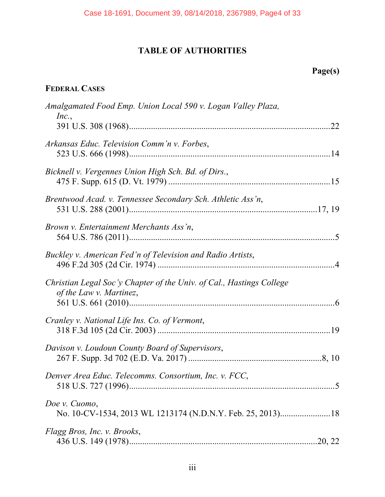# **TABLE OF AUTHORITIES**

# **Page(s)**

# **FEDERAL CASES**

| Amalgamated Food Emp. Union Local 590 v. Logan Valley Plaza,<br>Inc.,                           |  |
|-------------------------------------------------------------------------------------------------|--|
| Arkansas Educ. Television Comm'n v. Forbes,                                                     |  |
| Bicknell v. Vergennes Union High Sch. Bd. of Dirs.,                                             |  |
| Brentwood Acad. v. Tennessee Secondary Sch. Athletic Ass'n,                                     |  |
| Brown v. Entertainment Merchants Ass'n,                                                         |  |
| Buckley v. American Fed'n of Television and Radio Artists,                                      |  |
| Christian Legal Soc'y Chapter of the Univ. of Cal., Hastings College<br>of the Law v. Martinez, |  |
| Cranley v. National Life Ins. Co. of Vermont,                                                   |  |
| Davison v. Loudoun County Board of Supervisors,                                                 |  |
| Denver Area Educ. Telecomms. Consortium, Inc. v. FCC,                                           |  |
| Doe v. Cuomo,<br>No. 10-CV-1534, 2013 WL 1213174 (N.D.N.Y. Feb. 25, 2013)18                     |  |
| Flagg Bros, Inc. v. Brooks,                                                                     |  |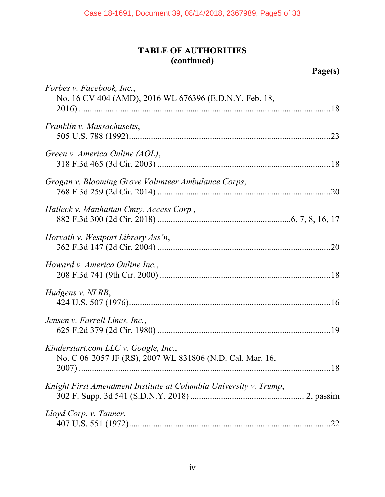# **TABLE OF AUTHORITIES (continued)**

| Forbes v. Facebook, Inc.,<br>No. 16 CV 404 (AMD), 2016 WL 676396 (E.D.N.Y. Feb. 18,               |     |
|---------------------------------------------------------------------------------------------------|-----|
|                                                                                                   |     |
| Franklin v. Massachusetts,                                                                        |     |
| Green v. America Online (AOL),                                                                    |     |
| Grogan v. Blooming Grove Volunteer Ambulance Corps,                                               |     |
| Halleck v. Manhattan Cmty. Access Corp.,                                                          |     |
| Horvath v. Westport Library Ass'n,                                                                |     |
| Howard v. America Online Inc.,                                                                    |     |
| Hudgens v. NLRB,                                                                                  |     |
| Jensen v. Farrell Lines, Inc.,                                                                    |     |
| Kinderstart.com LLC v. Google, Inc.,<br>No. C 06-2057 JF (RS), 2007 WL 831806 (N.D. Cal. Mar. 16, |     |
| Knight First Amendment Institute at Columbia University v. Trump,                                 |     |
| Lloyd Corp. v. Tanner,                                                                            | .22 |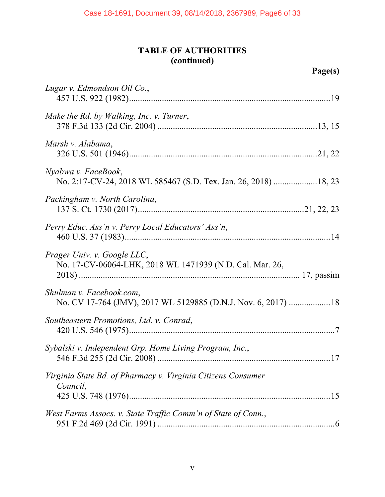## **TABLE OF AUTHORITIES (continued)**

| Lugar v. Edmondson Oil Co.,                                                               |
|-------------------------------------------------------------------------------------------|
| Make the Rd. by Walking, Inc. v. Turner,                                                  |
| Marsh v. Alabama,                                                                         |
| Nyabwa v. FaceBook,                                                                       |
| Packingham v. North Carolina,                                                             |
| Perry Educ. Ass'n v. Perry Local Educators' Ass'n,                                        |
| Prager Univ. v. Google LLC,<br>No. 17-CV-06064-LHK, 2018 WL 1471939 (N.D. Cal. Mar. 26,   |
| Shulman v. Facebook.com,<br>No. CV 17-764 (JMV), 2017 WL 5129885 (D.N.J. Nov. 6, 2017) 18 |
| Southeastern Promotions, Ltd. v. Conrad,                                                  |
| Sybalski v. Independent Grp. Home Living Program, Inc.,                                   |
| Virginia State Bd. of Pharmacy v. Virginia Citizens Consumer<br>Council,                  |
| West Farms Assocs. v. State Traffic Comm'n of State of Conn.,                             |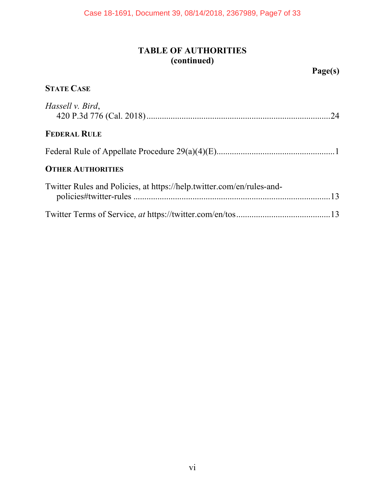# **TABLE OF AUTHORITIES (continued)**

| <b>STATE CASE</b>                                                     |
|-----------------------------------------------------------------------|
| Hassell v. Bird,                                                      |
| <b>FEDERAL RULE</b>                                                   |
|                                                                       |
| <b>OTHER AUTHORITIES</b>                                              |
| Twitter Rules and Policies, at https://help.twitter.com/en/rules-and- |
|                                                                       |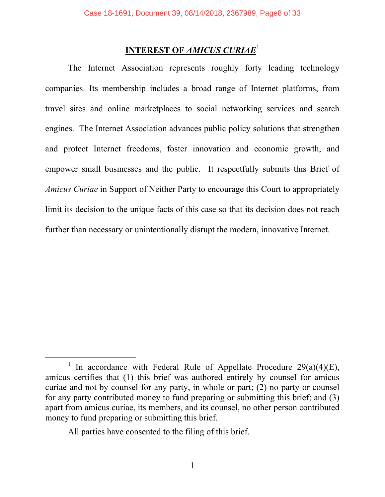## **INTEREST OF** *AMICUS CURIAE*<sup>1</sup>

The Internet Association represents roughly forty leading technology companies. Its membership includes a broad range of Internet platforms, from travel sites and online marketplaces to social networking services and search engines. The Internet Association advances public policy solutions that strengthen and protect Internet freedoms, foster innovation and economic growth, and empower small businesses and the public. It respectfully submits this Brief of *Amicus Curiae* in Support of Neither Party to encourage this Court to appropriately limit its decision to the unique facts of this case so that its decision does not reach further than necessary or unintentionally disrupt the modern, innovative Internet.

All parties have consented to the filing of this brief.

<sup>&</sup>lt;sup>1</sup> In accordance with Federal Rule of Appellate Procedure 29(a)(4)(E), amicus certifies that (1) this brief was authored entirely by counsel for amicus curiae and not by counsel for any party, in whole or part; (2) no party or counsel for any party contributed money to fund preparing or submitting this brief; and (3) apart from amicus curiae, its members, and its counsel, no other person contributed money to fund preparing or submitting this brief.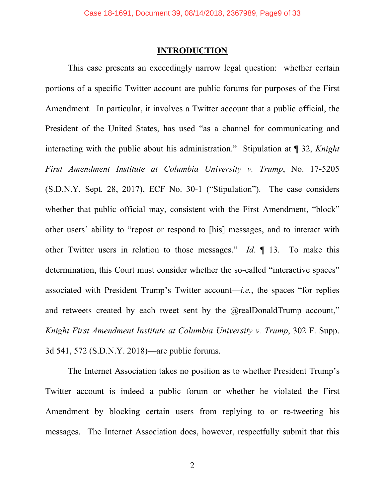## **INTRODUCTION**

This case presents an exceedingly narrow legal question: whether certain portions of a specific Twitter account are public forums for purposes of the First Amendment. In particular, it involves a Twitter account that a public official, the President of the United States, has used "as a channel for communicating and interacting with the public about his administration." Stipulation at ¶ 32, *Knight First Amendment Institute at Columbia University v. Trump*, No. 17-5205 (S.D.N.Y. Sept. 28, 2017), ECF No. 30-1 ("Stipulation"). The case considers whether that public official may, consistent with the First Amendment, "block" other users' ability to "repost or respond to [his] messages, and to interact with other Twitter users in relation to those messages." *Id*. ¶ 13. To make this determination, this Court must consider whether the so-called "interactive spaces" associated with President Trump's Twitter account—*i.e.*, the spaces "for replies and retweets created by each tweet sent by the @realDonaldTrump account," *Knight First Amendment Institute at Columbia University v. Trump*, 302 F. Supp. 3d 541, 572 (S.D.N.Y. 2018)—are public forums.

The Internet Association takes no position as to whether President Trump's Twitter account is indeed a public forum or whether he violated the First Amendment by blocking certain users from replying to or re-tweeting his messages. The Internet Association does, however, respectfully submit that this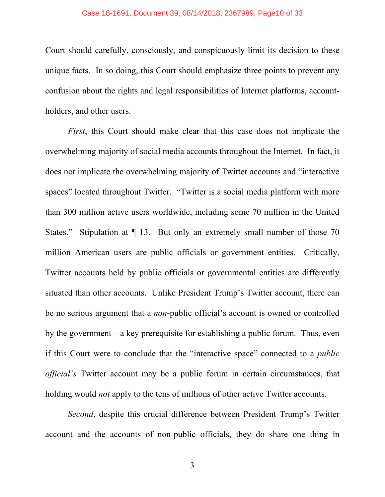Court should carefully, consciously, and conspicuously limit its decision to these unique facts. In so doing, this Court should emphasize three points to prevent any confusion about the rights and legal responsibilities of Internet platforms, accountholders, and other users.

*First*, this Court should make clear that this case does not implicate the overwhelming majority of social media accounts throughout the Internet. In fact, it does not implicate the overwhelming majority of Twitter accounts and "interactive spaces" located throughout Twitter. "Twitter is a social media platform with more than 300 million active users worldwide, including some 70 million in the United States." Stipulation at  $\P$  13. But only an extremely small number of those 70 million American users are public officials or government entities. Critically, Twitter accounts held by public officials or governmental entities are differently situated than other accounts. Unlike President Trump's Twitter account, there can be no serious argument that a *non*-public official's account is owned or controlled by the government—a key prerequisite for establishing a public forum. Thus, even if this Court were to conclude that the "interactive space" connected to a *public official's* Twitter account may be a public forum in certain circumstances, that holding would *not* apply to the tens of millions of other active Twitter accounts.

*Second*, despite this crucial difference between President Trump's Twitter account and the accounts of non-public officials, they do share one thing in

3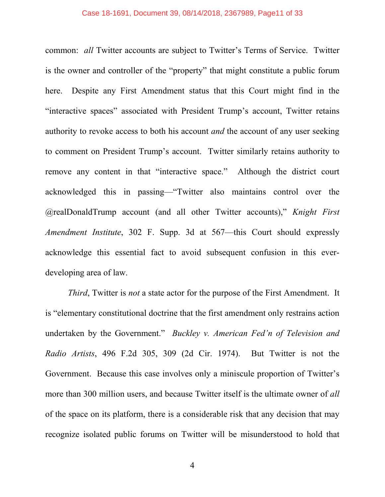#### Case 18-1691, Document 39, 08/14/2018, 2367989, Page11 of 33

common: *all* Twitter accounts are subject to Twitter's Terms of Service. Twitter is the owner and controller of the "property" that might constitute a public forum here. Despite any First Amendment status that this Court might find in the "interactive spaces" associated with President Trump's account, Twitter retains authority to revoke access to both his account *and* the account of any user seeking to comment on President Trump's account. Twitter similarly retains authority to remove any content in that "interactive space." Although the district court acknowledged this in passing—"Twitter also maintains control over the @realDonaldTrump account (and all other Twitter accounts)," *Knight First Amendment Institute*, 302 F. Supp. 3d at 567—this Court should expressly acknowledge this essential fact to avoid subsequent confusion in this everdeveloping area of law.

*Third*, Twitter is *not* a state actor for the purpose of the First Amendment. It is "elementary constitutional doctrine that the first amendment only restrains action undertaken by the Government." *Buckley v. American Fed'n of Television and Radio Artists*, 496 F.2d 305, 309 (2d Cir. 1974). But Twitter is not the Government. Because this case involves only a miniscule proportion of Twitter's more than 300 million users, and because Twitter itself is the ultimate owner of *all* of the space on its platform, there is a considerable risk that any decision that may recognize isolated public forums on Twitter will be misunderstood to hold that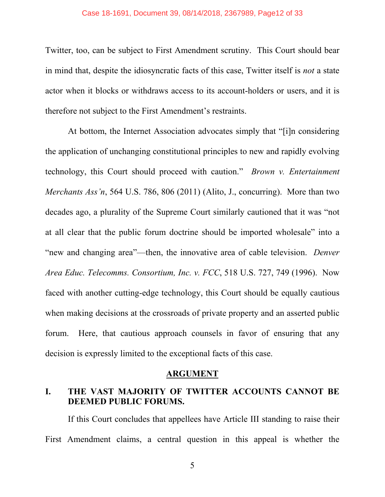Twitter, too, can be subject to First Amendment scrutiny. This Court should bear in mind that, despite the idiosyncratic facts of this case, Twitter itself is *not* a state actor when it blocks or withdraws access to its account-holders or users, and it is therefore not subject to the First Amendment's restraints.

At bottom, the Internet Association advocates simply that "[i]n considering the application of unchanging constitutional principles to new and rapidly evolving technology, this Court should proceed with caution." *Brown v. Entertainment Merchants Ass'n*, 564 U.S. 786, 806 (2011) (Alito, J., concurring). More than two decades ago, a plurality of the Supreme Court similarly cautioned that it was "not at all clear that the public forum doctrine should be imported wholesale" into a "new and changing area"—then, the innovative area of cable television. *Denver Area Educ. Telecomms. Consortium, Inc. v. FCC*, 518 U.S. 727, 749 (1996). Now faced with another cutting-edge technology, this Court should be equally cautious when making decisions at the crossroads of private property and an asserted public forum. Here, that cautious approach counsels in favor of ensuring that any decision is expressly limited to the exceptional facts of this case.

### **ARGUMENT**

## **I. THE VAST MAJORITY OF TWITTER ACCOUNTS CANNOT BE DEEMED PUBLIC FORUMS.**

If this Court concludes that appellees have Article III standing to raise their First Amendment claims, a central question in this appeal is whether the

5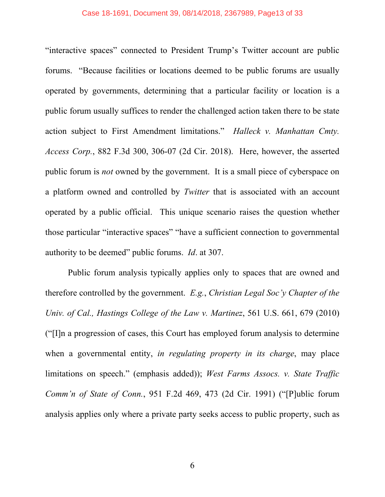#### Case 18-1691, Document 39, 08/14/2018, 2367989, Page13 of 33

"interactive spaces" connected to President Trump's Twitter account are public forums. "Because facilities or locations deemed to be public forums are usually operated by governments, determining that a particular facility or location is a public forum usually suffices to render the challenged action taken there to be state action subject to First Amendment limitations." *Halleck v. Manhattan Cmty. Access Corp.*, 882 F.3d 300, 306-07 (2d Cir. 2018). Here, however, the asserted public forum is *not* owned by the government. It is a small piece of cyberspace on a platform owned and controlled by *Twitter* that is associated with an account operated by a public official. This unique scenario raises the question whether those particular "interactive spaces" "have a sufficient connection to governmental authority to be deemed" public forums. *Id*. at 307.

Public forum analysis typically applies only to spaces that are owned and therefore controlled by the government. *E.g.*, *Christian Legal Soc'y Chapter of the Univ. of Cal., Hastings College of the Law v. Martinez*, 561 U.S. 661, 679 (2010) ("[I]n a progression of cases, this Court has employed forum analysis to determine when a governmental entity, *in regulating property in its charge*, may place limitations on speech." (emphasis added)); *West Farms Assocs. v. State Traffic Comm'n of State of Conn.*, 951 F.2d 469, 473 (2d Cir. 1991) ("[P]ublic forum analysis applies only where a private party seeks access to public property, such as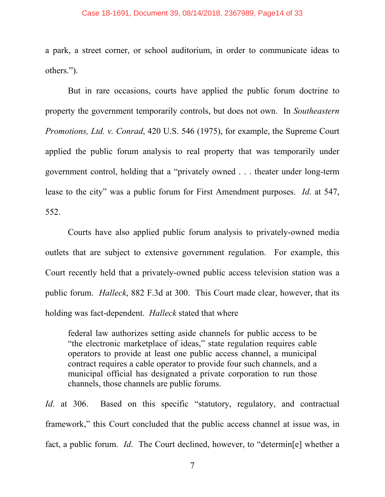#### Case 18-1691, Document 39, 08/14/2018, 2367989, Page14 of 33

a park, a street corner, or school auditorium, in order to communicate ideas to others.").

But in rare occasions, courts have applied the public forum doctrine to property the government temporarily controls, but does not own. In *Southeastern Promotions, Ltd. v. Conrad*, 420 U.S. 546 (1975), for example, the Supreme Court applied the public forum analysis to real property that was temporarily under government control, holding that a "privately owned . . . theater under long-term lease to the city" was a public forum for First Amendment purposes. *Id*. at 547, 552.

Courts have also applied public forum analysis to privately-owned media outlets that are subject to extensive government regulation. For example, this Court recently held that a privately-owned public access television station was a public forum. *Halleck*, 882 F.3d at 300. This Court made clear, however, that its holding was fact-dependent. *Halleck* stated that where

federal law authorizes setting aside channels for public access to be "the electronic marketplace of ideas," state regulation requires cable operators to provide at least one public access channel, a municipal contract requires a cable operator to provide four such channels, and a municipal official has designated a private corporation to run those channels, those channels are public forums.

*Id.* at 306. Based on this specific "statutory, regulatory, and contractual framework," this Court concluded that the public access channel at issue was, in fact, a public forum. *Id*. The Court declined, however, to "determin[e] whether a

7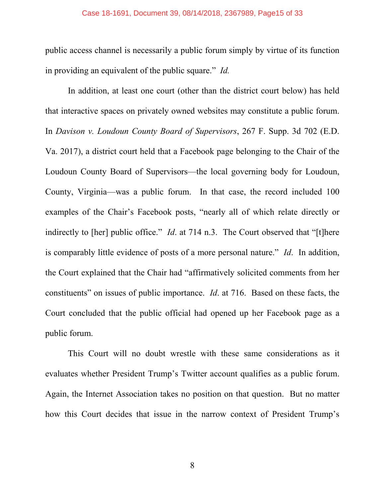public access channel is necessarily a public forum simply by virtue of its function in providing an equivalent of the public square." *Id.*

In addition, at least one court (other than the district court below) has held that interactive spaces on privately owned websites may constitute a public forum. In *Davison v. Loudoun County Board of Supervisors*, 267 F. Supp. 3d 702 (E.D. Va. 2017), a district court held that a Facebook page belonging to the Chair of the Loudoun County Board of Supervisors—the local governing body for Loudoun, County, Virginia—was a public forum. In that case, the record included 100 examples of the Chair's Facebook posts, "nearly all of which relate directly or indirectly to [her] public office." *Id.* at 714 n.3. The Court observed that "[t]here is comparably little evidence of posts of a more personal nature." *Id*. In addition, the Court explained that the Chair had "affirmatively solicited comments from her constituents" on issues of public importance. *Id*. at 716. Based on these facts, the Court concluded that the public official had opened up her Facebook page as a public forum.

This Court will no doubt wrestle with these same considerations as it evaluates whether President Trump's Twitter account qualifies as a public forum. Again, the Internet Association takes no position on that question. But no matter how this Court decides that issue in the narrow context of President Trump's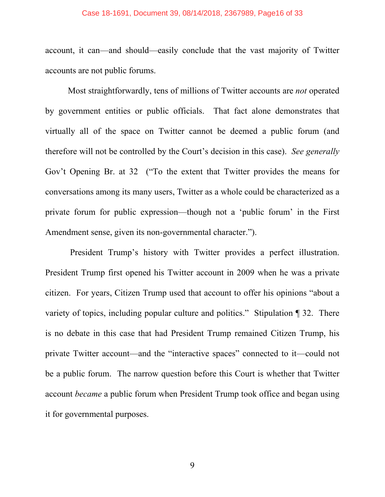#### Case 18-1691, Document 39, 08/14/2018, 2367989, Page16 of 33

account, it can—and should—easily conclude that the vast majority of Twitter accounts are not public forums.

Most straightforwardly, tens of millions of Twitter accounts are *not* operated by government entities or public officials. That fact alone demonstrates that virtually all of the space on Twitter cannot be deemed a public forum (and therefore will not be controlled by the Court's decision in this case). *See generally* Gov't Opening Br. at 32 ("To the extent that Twitter provides the means for conversations among its many users, Twitter as a whole could be characterized as a private forum for public expression—though not a 'public forum' in the First Amendment sense, given its non-governmental character.").

President Trump's history with Twitter provides a perfect illustration. President Trump first opened his Twitter account in 2009 when he was a private citizen. For years, Citizen Trump used that account to offer his opinions "about a variety of topics, including popular culture and politics." Stipulation ¶ 32. There is no debate in this case that had President Trump remained Citizen Trump, his private Twitter account—and the "interactive spaces" connected to it—could not be a public forum. The narrow question before this Court is whether that Twitter account *became* a public forum when President Trump took office and began using it for governmental purposes.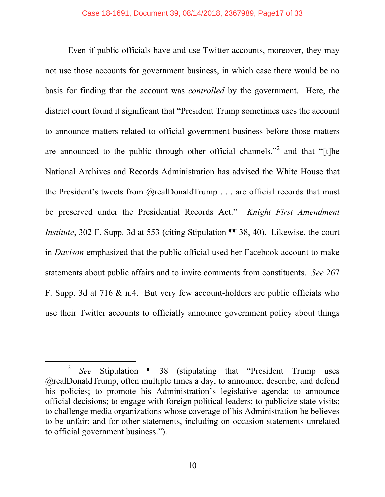Even if public officials have and use Twitter accounts, moreover, they may not use those accounts for government business, in which case there would be no basis for finding that the account was *controlled* by the government. Here, the district court found it significant that "President Trump sometimes uses the account to announce matters related to official government business before those matters are announced to the public through other official channels,"<sup>2</sup> and that "[t]he National Archives and Records Administration has advised the White House that the President's tweets from @realDonaldTrump . . . are official records that must be preserved under the Presidential Records Act." *Knight First Amendment Institute*, 302 F. Supp. 3d at 553 (citing Stipulation  $\P$  38, 40). Likewise, the court in *Davison* emphasized that the public official used her Facebook account to make statements about public affairs and to invite comments from constituents. *See* 267 F. Supp. 3d at 716 & n.4. But very few account-holders are public officials who use their Twitter accounts to officially announce government policy about things

 <sup>2</sup> *See* Stipulation ¶ 38 (stipulating that "President Trump uses @realDonaldTrump, often multiple times a day, to announce, describe, and defend his policies; to promote his Administration's legislative agenda; to announce official decisions; to engage with foreign political leaders; to publicize state visits; to challenge media organizations whose coverage of his Administration he believes to be unfair; and for other statements, including on occasion statements unrelated to official government business.").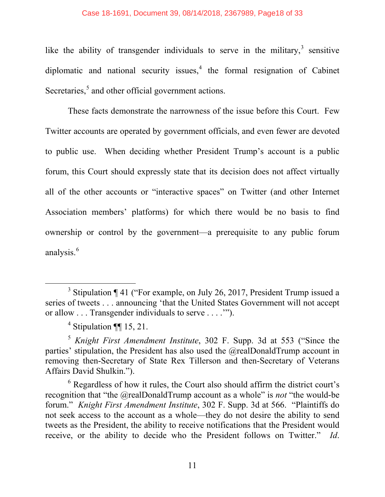like the ability of transgender individuals to serve in the military,  $3$  sensitive diplomatic and national security issues, $4$  the formal resignation of Cabinet Secretaries,<sup>5</sup> and other official government actions.

These facts demonstrate the narrowness of the issue before this Court. Few Twitter accounts are operated by government officials, and even fewer are devoted to public use. When deciding whether President Trump's account is a public forum, this Court should expressly state that its decision does not affect virtually all of the other accounts or "interactive spaces" on Twitter (and other Internet Association members' platforms) for which there would be no basis to find ownership or control by the government—a prerequisite to any public forum analysis.<sup>6</sup>

<sup>&</sup>lt;sup>3</sup> Stipulation  $\P$  41 ("For example, on July 26, 2017, President Trump issued a series of tweets . . . announcing 'that the United States Government will not accept or allow . . . Transgender individuals to serve . . . .'").

 $4$  Stipulation ¶[ 15, 21.

<sup>5</sup> *Knight First Amendment Institute*, 302 F. Supp. 3d at 553 ("Since the parties' stipulation, the President has also used the @realDonaldTrump account in removing then-Secretary of State Rex Tillerson and then-Secretary of Veterans Affairs David Shulkin.").

 $6$  Regardless of how it rules, the Court also should affirm the district court's recognition that "the @realDonaldTrump account as a whole" is *not* "the would-be forum." *Knight First Amendment Institute*, 302 F. Supp. 3d at 566. "Plaintiffs do not seek access to the account as a whole—they do not desire the ability to send tweets as the President, the ability to receive notifications that the President would receive, or the ability to decide who the President follows on Twitter." *Id*.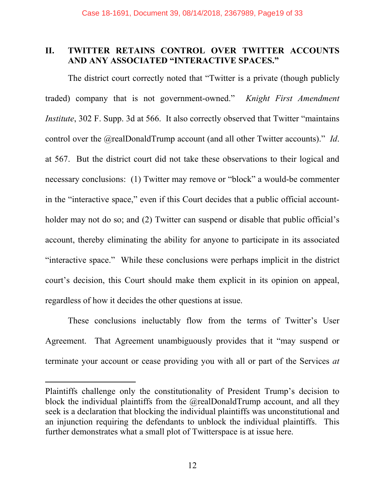## **II. TWITTER RETAINS CONTROL OVER TWITTER ACCOUNTS AND ANY ASSOCIATED "INTERACTIVE SPACES."**

The district court correctly noted that "Twitter is a private (though publicly traded) company that is not government-owned." *Knight First Amendment Institute*, 302 F. Supp. 3d at 566. It also correctly observed that Twitter "maintains" control over the @realDonaldTrump account (and all other Twitter accounts)." *Id*. at 567. But the district court did not take these observations to their logical and necessary conclusions: (1) Twitter may remove or "block" a would-be commenter in the "interactive space," even if this Court decides that a public official accountholder may not do so; and (2) Twitter can suspend or disable that public official's account, thereby eliminating the ability for anyone to participate in its associated "interactive space." While these conclusions were perhaps implicit in the district court's decision, this Court should make them explicit in its opinion on appeal, regardless of how it decides the other questions at issue.

These conclusions ineluctably flow from the terms of Twitter's User Agreement. That Agreement unambiguously provides that it "may suspend or terminate your account or cease providing you with all or part of the Services *at* 

 $\overline{a}$ 

Plaintiffs challenge only the constitutionality of President Trump's decision to block the individual plaintiffs from the @realDonaldTrump account, and all they seek is a declaration that blocking the individual plaintiffs was unconstitutional and an injunction requiring the defendants to unblock the individual plaintiffs. This further demonstrates what a small plot of Twitterspace is at issue here.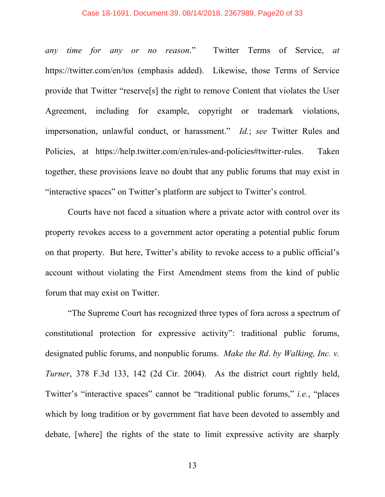#### Case 18-1691, Document 39, 08/14/2018, 2367989, Page20 of 33

*any time for any or no reason*." Twitter Terms of Service, *at* https://twitter.com/en/tos (emphasis added). Likewise, those Terms of Service provide that Twitter "reserve[s] the right to remove Content that violates the User Agreement, including for example, copyright or trademark violations, impersonation, unlawful conduct, or harassment." *Id.*; *see* Twitter Rules and Policies, at https://help.twitter.com/en/rules-and-policies#twitter-rules. Taken together, these provisions leave no doubt that any public forums that may exist in "interactive spaces" on Twitter's platform are subject to Twitter's control.

Courts have not faced a situation where a private actor with control over its property revokes access to a government actor operating a potential public forum on that property. But here, Twitter's ability to revoke access to a public official's account without violating the First Amendment stems from the kind of public forum that may exist on Twitter.

"The Supreme Court has recognized three types of fora across a spectrum of constitutional protection for expressive activity": traditional public forums, designated public forums, and nonpublic forums. *Make the Rd*. *by Walking, Inc. v. Turner*, 378 F.3d 133, 142 (2d Cir. 2004). As the district court rightly held, Twitter's "interactive spaces" cannot be "traditional public forums," *i.e.*, "places which by long tradition or by government fiat have been devoted to assembly and debate, [where] the rights of the state to limit expressive activity are sharply

13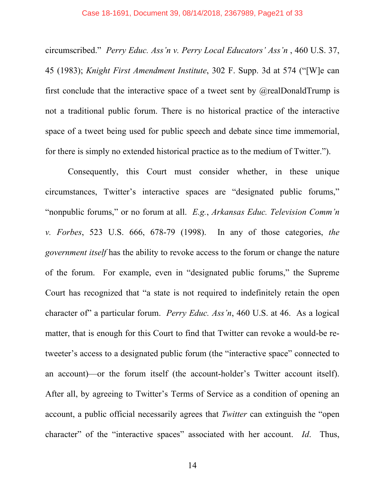circumscribed." *Perry Educ. Ass'n v. Perry Local Educators' Ass'n* , 460 U.S. 37, 45 (1983); *Knight First Amendment Institute*, 302 F. Supp. 3d at 574 ("[W]e can first conclude that the interactive space of a tweet sent by  $@$ realDonaldTrump is not a traditional public forum. There is no historical practice of the interactive space of a tweet being used for public speech and debate since time immemorial, for there is simply no extended historical practice as to the medium of Twitter.").

Consequently, this Court must consider whether, in these unique circumstances, Twitter's interactive spaces are "designated public forums," "nonpublic forums," or no forum at all. *E.g.*, *Arkansas Educ. Television Comm'n v. Forbes*, 523 U.S. 666, 678-79 (1998). In any of those categories, *the government itself* has the ability to revoke access to the forum or change the nature of the forum. For example, even in "designated public forums," the Supreme Court has recognized that "a state is not required to indefinitely retain the open character of" a particular forum. *Perry Educ. Ass'n*, 460 U.S. at 46. As a logical matter, that is enough for this Court to find that Twitter can revoke a would-be retweeter's access to a designated public forum (the "interactive space" connected to an account)—or the forum itself (the account-holder's Twitter account itself). After all, by agreeing to Twitter's Terms of Service as a condition of opening an account, a public official necessarily agrees that *Twitter* can extinguish the "open character" of the "interactive spaces" associated with her account. *Id*. Thus,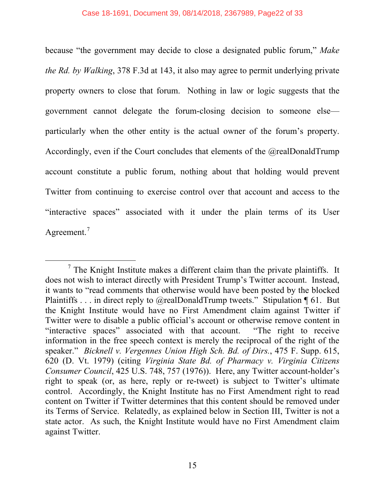because "the government may decide to close a designated public forum," *Make the Rd. by Walking*, 378 F.3d at 143, it also may agree to permit underlying private property owners to close that forum. Nothing in law or logic suggests that the government cannot delegate the forum-closing decision to someone else particularly when the other entity is the actual owner of the forum's property. Accordingly, even if the Court concludes that elements of the @realDonaldTrump account constitute a public forum, nothing about that holding would prevent Twitter from continuing to exercise control over that account and access to the "interactive spaces" associated with it under the plain terms of its User Agreement.<sup>7</sup>

 $<sup>7</sup>$  The Knight Institute makes a different claim than the private plaintiffs. It</sup> does not wish to interact directly with President Trump's Twitter account. Instead, it wants to "read comments that otherwise would have been posted by the blocked Plaintiffs . . . in direct reply to @realDonaldTrump tweets." Stipulation ¶ 61. But the Knight Institute would have no First Amendment claim against Twitter if Twitter were to disable a public official's account or otherwise remove content in "interactive spaces" associated with that account. "The right to receive information in the free speech context is merely the reciprocal of the right of the speaker." *Bicknell v. Vergennes Union High Sch. Bd. of Dirs.*, 475 F. Supp. 615, 620 (D. Vt. 1979) (citing *Virginia State Bd. of Pharmacy v. Virginia Citizens Consumer Council*, 425 U.S. 748, 757 (1976)). Here, any Twitter account-holder's right to speak (or, as here, reply or re-tweet) is subject to Twitter's ultimate control. Accordingly, the Knight Institute has no First Amendment right to read content on Twitter if Twitter determines that this content should be removed under its Terms of Service. Relatedly, as explained below in Section III, Twitter is not a state actor. As such, the Knight Institute would have no First Amendment claim against Twitter.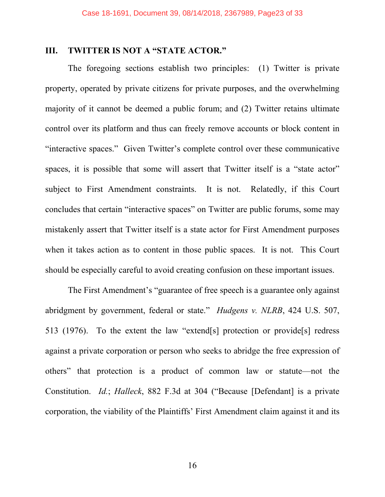## **III. TWITTER IS NOT A "STATE ACTOR."**

The foregoing sections establish two principles: (1) Twitter is private property, operated by private citizens for private purposes, and the overwhelming majority of it cannot be deemed a public forum; and (2) Twitter retains ultimate control over its platform and thus can freely remove accounts or block content in "interactive spaces." Given Twitter's complete control over these communicative spaces, it is possible that some will assert that Twitter itself is a "state actor" subject to First Amendment constraints. It is not. Relatedly, if this Court concludes that certain "interactive spaces" on Twitter are public forums, some may mistakenly assert that Twitter itself is a state actor for First Amendment purposes when it takes action as to content in those public spaces. It is not. This Court should be especially careful to avoid creating confusion on these important issues.

The First Amendment's "guarantee of free speech is a guarantee only against abridgment by government, federal or state." *Hudgens v. NLRB*, 424 U.S. 507, 513 (1976). To the extent the law "extend[s] protection or provide[s] redress against a private corporation or person who seeks to abridge the free expression of others" that protection is a product of common law or statute—not the Constitution. *Id.*; *Halleck*, 882 F.3d at 304 ("Because [Defendant] is a private corporation, the viability of the Plaintiffs' First Amendment claim against it and its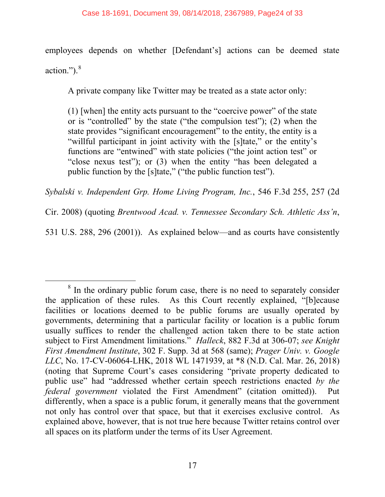employees depends on whether [Defendant's] actions can be deemed state action.").<sup>8</sup>

A private company like Twitter may be treated as a state actor only:

(1) [when] the entity acts pursuant to the "coercive power" of the state or is "controlled" by the state ("the compulsion test"); (2) when the state provides "significant encouragement" to the entity, the entity is a "willful participant in joint activity with the [s]tate," or the entity's functions are "entwined" with state policies ("the joint action test" or "close nexus test"); or (3) when the entity "has been delegated a public function by the [s]tate," ("the public function test").

*Sybalski v. Independent Grp. Home Living Program, Inc.*, 546 F.3d 255, 257 (2d

Cir. 2008) (quoting *Brentwood Acad. v. Tennessee Secondary Sch. Athletic Ass'n*,

531 U.S. 288, 296 (2001)). As explained below—and as courts have consistently

<sup>&</sup>lt;sup>8</sup> In the ordinary public forum case, there is no need to separately consider the application of these rules. As this Court recently explained, "[b]ecause facilities or locations deemed to be public forums are usually operated by governments, determining that a particular facility or location is a public forum usually suffices to render the challenged action taken there to be state action subject to First Amendment limitations." *Halleck*, 882 F.3d at 306-07; *see Knight First Amendment Institute*, 302 F. Supp. 3d at 568 (same); *Prager Univ. v. Google LLC*, No. 17-CV-06064-LHK, 2018 WL 1471939, at \*8 (N.D. Cal. Mar. 26, 2018) (noting that Supreme Court's cases considering "private property dedicated to public use" had "addressed whether certain speech restrictions enacted *by the federal government* violated the First Amendment" (citation omitted)). Put differently, when a space is a public forum, it generally means that the government not only has control over that space, but that it exercises exclusive control. As explained above, however, that is not true here because Twitter retains control over all spaces on its platform under the terms of its User Agreement.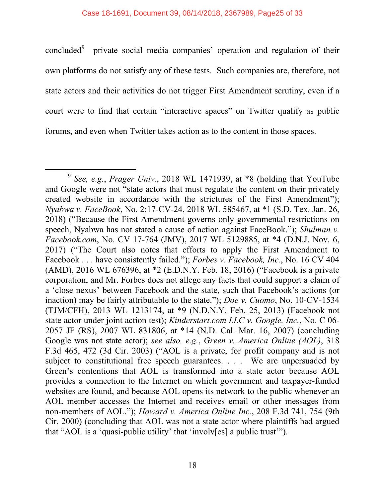concluded<sup>9</sup>—private social media companies' operation and regulation of their own platforms do not satisfy any of these tests. Such companies are, therefore, not state actors and their activities do not trigger First Amendment scrutiny, even if a court were to find that certain "interactive spaces" on Twitter qualify as public forums, and even when Twitter takes action as to the content in those spaces.

 <sup>9</sup> *See, e.g.*, *Prager Univ.*, 2018 WL 1471939, at \*8 (holding that YouTube and Google were not "state actors that must regulate the content on their privately created website in accordance with the strictures of the First Amendment"); *Nyabwa v. FaceBook*, No. 2:17-CV-24, 2018 WL 585467, at \*1 (S.D. Tex. Jan. 26, 2018) ("Because the First Amendment governs only governmental restrictions on speech, Nyabwa has not stated a cause of action against FaceBook."); *Shulman v. Facebook.com*, No. CV 17-764 (JMV), 2017 WL 5129885, at \*4 (D.N.J. Nov. 6, 2017) ("The Court also notes that efforts to apply the First Amendment to Facebook . . . have consistently failed."); *Forbes v. Facebook, Inc.*, No. 16 CV 404 (AMD), 2016 WL 676396, at \*2 (E.D.N.Y. Feb. 18, 2016) ("Facebook is a private corporation, and Mr. Forbes does not allege any facts that could support a claim of a 'close nexus' between Facebook and the state, such that Facebook's actions (or inaction) may be fairly attributable to the state."); *Doe v. Cuomo*, No. 10-CV-1534 (TJM/CFH), 2013 WL 1213174, at \*9 (N.D.N.Y. Feb. 25, 2013) (Facebook not state actor under joint action test); *Kinderstart.com LLC v. Google, Inc.*, No. C 06- 2057 JF (RS), 2007 WL 831806, at \*14 (N.D. Cal. Mar. 16, 2007) (concluding Google was not state actor); *see also, e.g.*, *Green v. America Online (AOL)*, 318 F.3d 465, 472 (3d Cir. 2003) ("AOL is a private, for profit company and is not subject to constitutional free speech guarantees. . . . We are unpersuaded by Green's contentions that AOL is transformed into a state actor because AOL provides a connection to the Internet on which government and taxpayer-funded websites are found, and because AOL opens its network to the public whenever an AOL member accesses the Internet and receives email or other messages from non-members of AOL."); *Howard v. America Online Inc.*, 208 F.3d 741, 754 (9th Cir. 2000) (concluding that AOL was not a state actor where plaintiffs had argued that "AOL is a 'quasi-public utility' that 'involv[es] a public trust'").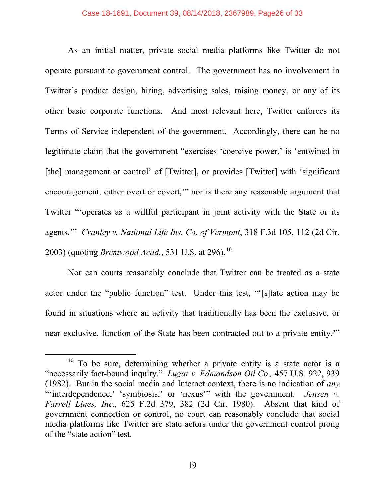As an initial matter, private social media platforms like Twitter do not operate pursuant to government control. The government has no involvement in Twitter's product design, hiring, advertising sales, raising money, or any of its other basic corporate functions. And most relevant here, Twitter enforces its Terms of Service independent of the government. Accordingly, there can be no legitimate claim that the government "exercises 'coercive power,' is 'entwined in [the] management or control' of [Twitter], or provides [Twitter] with 'significant encouragement, either overt or covert," nor is there any reasonable argument that Twitter "'operates as a willful participant in joint activity with the State or its agents.'" *Cranley v. National Life Ins. Co. of Vermont*, 318 F.3d 105, 112 (2d Cir. 2003) (quoting *Brentwood Acad.*, 531 U.S. at 296).<sup>10</sup>

Nor can courts reasonably conclude that Twitter can be treated as a state actor under the "public function" test. Under this test, "'[s]tate action may be found in situations where an activity that traditionally has been the exclusive, or near exclusive, function of the State has been contracted out to a private entity.'"

 $10$  To be sure, determining whether a private entity is a state actor is a "necessarily fact-bound inquiry." *Lugar v. Edmondson Oil Co.,* 457 U.S. 922, 939 (1982). But in the social media and Internet context, there is no indication of *any* "interdependence,' 'symbiosis,' or 'nexus'" with the government. *Jensen v. Farrell Lines, Inc*., 625 F.2d 379, 382 (2d Cir. 1980). Absent that kind of government connection or control, no court can reasonably conclude that social media platforms like Twitter are state actors under the government control prong of the "state action" test.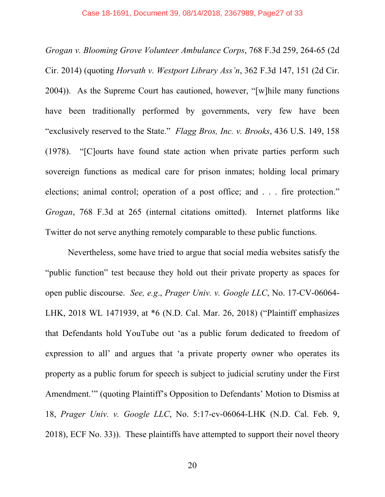*Grogan v. Blooming Grove Volunteer Ambulance Corps*, 768 F.3d 259, 264-65 (2d Cir. 2014) (quoting *Horvath v. Westport Library Ass'n*, 362 F.3d 147, 151 (2d Cir. 2004)). As the Supreme Court has cautioned, however, "[w]hile many functions have been traditionally performed by governments, very few have been "exclusively reserved to the State." *Flagg Bros, Inc. v. Brooks*, 436 U.S. 149, 158 (1978). "[C]ourts have found state action when private parties perform such sovereign functions as medical care for prison inmates; holding local primary elections; animal control; operation of a post office; and . . . fire protection." *Grogan*, 768 F.3d at 265 (internal citations omitted). Internet platforms like Twitter do not serve anything remotely comparable to these public functions.

Nevertheless, some have tried to argue that social media websites satisfy the "public function" test because they hold out their private property as spaces for open public discourse. *See, e.g*., *Prager Univ. v. Google LLC*, No. 17-CV-06064- LHK, 2018 WL 1471939, at \*6 (N.D. Cal. Mar. 26, 2018) ("Plaintiff emphasizes that Defendants hold YouTube out 'as a public forum dedicated to freedom of expression to all' and argues that 'a private property owner who operates its property as a public forum for speech is subject to judicial scrutiny under the First Amendment.'" (quoting Plaintiff's Opposition to Defendants' Motion to Dismiss at 18, *Prager Univ. v. Google LLC*, No. 5:17-cv-06064-LHK (N.D. Cal. Feb. 9, 2018), ECF No. 33)). These plaintiffs have attempted to support their novel theory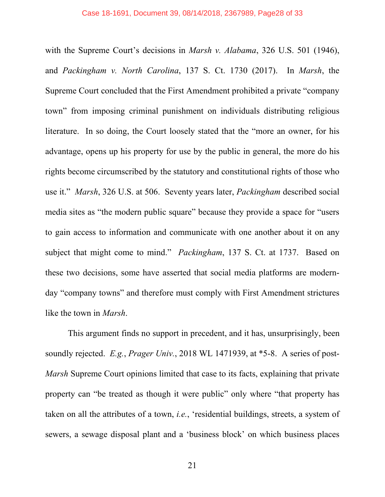with the Supreme Court's decisions in *Marsh v. Alabama*, 326 U.S. 501 (1946), and *Packingham v. North Carolina*, 137 S. Ct. 1730 (2017). In *Marsh*, the Supreme Court concluded that the First Amendment prohibited a private "company town" from imposing criminal punishment on individuals distributing religious literature. In so doing, the Court loosely stated that the "more an owner, for his advantage, opens up his property for use by the public in general, the more do his rights become circumscribed by the statutory and constitutional rights of those who use it." *Marsh*, 326 U.S. at 506. Seventy years later, *Packingham* described social media sites as "the modern public square" because they provide a space for "users to gain access to information and communicate with one another about it on any subject that might come to mind." *Packingham*, 137 S. Ct. at 1737. Based on these two decisions, some have asserted that social media platforms are modernday "company towns" and therefore must comply with First Amendment strictures like the town in *Marsh*.

This argument finds no support in precedent, and it has, unsurprisingly, been soundly rejected. *E.g.*, *Prager Univ.*, 2018 WL 1471939, at \*5-8. A series of post-*Marsh* Supreme Court opinions limited that case to its facts, explaining that private property can "be treated as though it were public" only where "that property has taken on all the attributes of a town, *i.e.*, 'residential buildings, streets, a system of sewers, a sewage disposal plant and a 'business block' on which business places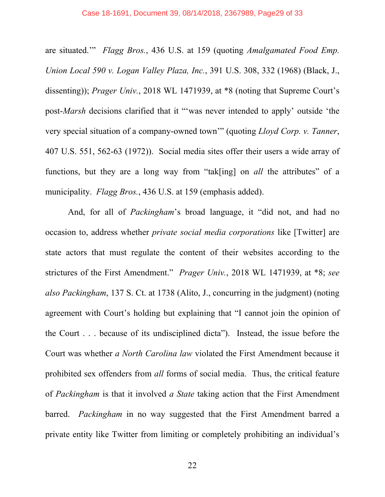are situated.'" *Flagg Bros.*, 436 U.S. at 159 (quoting *Amalgamated Food Emp. Union Local 590 v. Logan Valley Plaza, Inc.*, 391 U.S. 308, 332 (1968) (Black, J., dissenting)); *Prager Univ.*, 2018 WL 1471939, at \*8 (noting that Supreme Court's post-*Marsh* decisions clarified that it "'was never intended to apply' outside 'the very special situation of a company-owned town'" (quoting *Lloyd Corp. v. Tanner*, 407 U.S. 551, 562-63 (1972)). Social media sites offer their users a wide array of functions, but they are a long way from "tak[ing] on *all* the attributes" of a municipality. *Flagg Bros.*, 436 U.S. at 159 (emphasis added).

And, for all of *Packingham*'s broad language, it "did not, and had no occasion to, address whether *private social media corporations* like [Twitter] are state actors that must regulate the content of their websites according to the strictures of the First Amendment." *Prager Univ.*, 2018 WL 1471939, at \*8; *see also Packingham*, 137 S. Ct. at 1738 (Alito, J., concurring in the judgment) (noting agreement with Court's holding but explaining that "I cannot join the opinion of the Court . . . because of its undisciplined dicta"). Instead, the issue before the Court was whether *a North Carolina law* violated the First Amendment because it prohibited sex offenders from *all* forms of social media. Thus, the critical feature of *Packingham* is that it involved *a State* taking action that the First Amendment barred. *Packingham* in no way suggested that the First Amendment barred a private entity like Twitter from limiting or completely prohibiting an individual's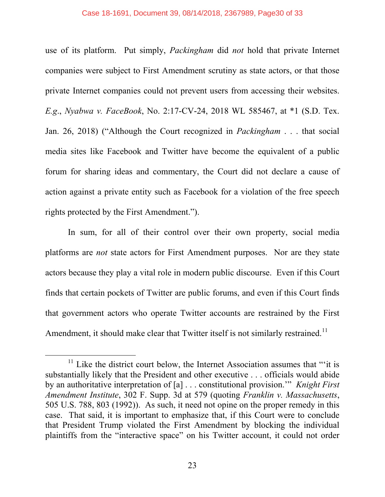#### Case 18-1691, Document 39, 08/14/2018, 2367989, Page30 of 33

use of its platform. Put simply, *Packingham* did *not* hold that private Internet companies were subject to First Amendment scrutiny as state actors, or that those private Internet companies could not prevent users from accessing their websites. *E.g*., *Nyabwa v. FaceBook*, No. 2:17-CV-24, 2018 WL 585467, at \*1 (S.D. Tex. Jan. 26, 2018) ("Although the Court recognized in *Packingham* . . . that social media sites like Facebook and Twitter have become the equivalent of a public forum for sharing ideas and commentary, the Court did not declare a cause of action against a private entity such as Facebook for a violation of the free speech rights protected by the First Amendment.").

In sum, for all of their control over their own property, social media platforms are *not* state actors for First Amendment purposes. Nor are they state actors because they play a vital role in modern public discourse. Even if this Court finds that certain pockets of Twitter are public forums, and even if this Court finds that government actors who operate Twitter accounts are restrained by the First Amendment, it should make clear that Twitter itself is not similarly restrained.<sup>11</sup>

 $11$  Like the district court below, the Internet Association assumes that "'it is substantially likely that the President and other executive . . . officials would abide by an authoritative interpretation of [a] . . . constitutional provision.'" *Knight First Amendment Institute*, 302 F. Supp. 3d at 579 (quoting *Franklin v. Massachusetts*, 505 U.S. 788, 803 (1992)). As such, it need not opine on the proper remedy in this case. That said, it is important to emphasize that, if this Court were to conclude that President Trump violated the First Amendment by blocking the individual plaintiffs from the "interactive space" on his Twitter account, it could not order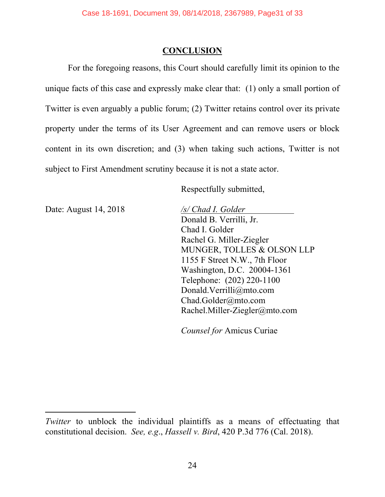## **CONCLUSION**

For the foregoing reasons, this Court should carefully limit its opinion to the unique facts of this case and expressly make clear that: (1) only a small portion of Twitter is even arguably a public forum; (2) Twitter retains control over its private property under the terms of its User Agreement and can remove users or block content in its own discretion; and (3) when taking such actions, Twitter is not subject to First Amendment scrutiny because it is not a state actor.

Respectfully submitted,

Date: August 14, 2018 */s/ Chad I. Golder*

l

Donald B. Verrilli, Jr. Chad I. Golder Rachel G. Miller-Ziegler MUNGER, TOLLES & OLSON LLP 1155 F Street N.W., 7th Floor Washington, D.C. 20004-1361 Telephone: (202) 220-1100 Donald.Verrilli@mto.com Chad.Golder@mto.com Rachel.Miller-Ziegler@mto.com

*Counsel for* Amicus Curiae

*Twitter* to unblock the individual plaintiffs as a means of effectuating that constitutional decision. *See, e.g*., *Hassell v. Bird*, 420 P.3d 776 (Cal. 2018).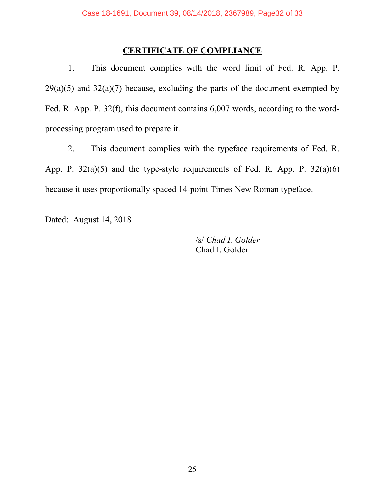## **CERTIFICATE OF COMPLIANCE**

1. This document complies with the word limit of Fed. R. App. P.  $29(a)(5)$  and  $32(a)(7)$  because, excluding the parts of the document exempted by Fed. R. App. P. 32(f), this document contains 6,007 words, according to the wordprocessing program used to prepare it.

2. This document complies with the typeface requirements of Fed. R. App. P.  $32(a)(5)$  and the type-style requirements of Fed. R. App. P.  $32(a)(6)$ because it uses proportionally spaced 14-point Times New Roman typeface.

Dated: August 14, 2018

/s/ *Chad I. Golder* Chad I. Golder